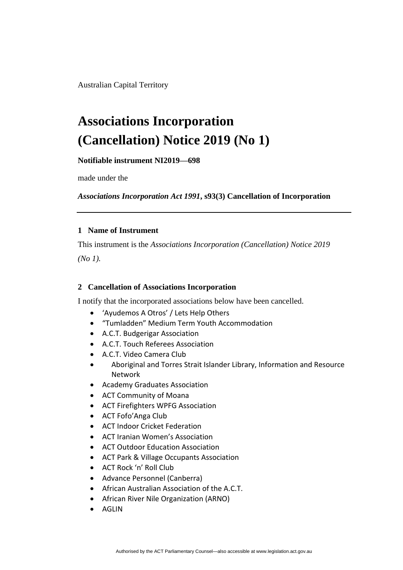Australian Capital Territory

## **Associations Incorporation (Cancellation) Notice 2019 (No 1)**

**Notifiable instrument NI2019—698**

made under the

*Associations Incorporation Act 1991***, s93(3) Cancellation of Incorporation**

## **1 Name of Instrument**

This instrument is the *Associations Incorporation (Cancellation) Notice 2019*

*(No 1).*

## **2 Cancellation of Associations Incorporation**

I notify that the incorporated associations below have been cancelled.

- 'Ayudemos A Otros' / Lets Help Others
- "Tumladden" Medium Term Youth Accommodation
- A.C.T. Budgerigar Association
- A.C.T. Touch Referees Association
- A.C.T. Video Camera Club
- Aboriginal and Torres Strait Islander Library, Information and Resource Network
- Academy Graduates Association
- ACT Community of Moana
- ACT Firefighters WPFG Association
- ACT Fofo'Anga Club
- ACT Indoor Cricket Federation
- ACT Iranian Women's Association
- ACT Outdoor Education Association
- ACT Park & Village Occupants Association
- ACT Rock 'n' Roll Club
- Advance Personnel (Canberra)
- African Australian Association of the A.C.T.
- African River Nile Organization (ARNO)
- AGLIN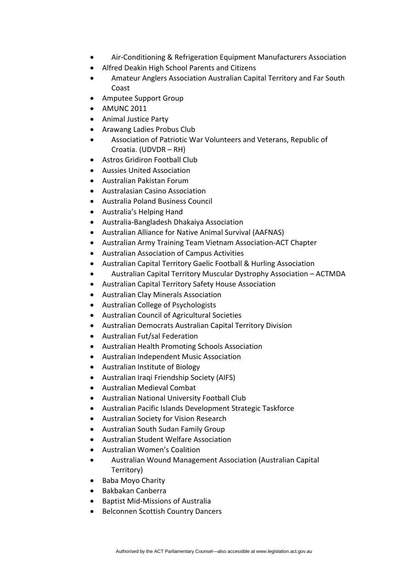- Air-Conditioning & Refrigeration Equipment Manufacturers Association
- Alfred Deakin High School Parents and Citizens
- Amateur Anglers Association Australian Capital Territory and Far South Coast
- Amputee Support Group
- AMUNC 2011
- Animal Justice Party
- Arawang Ladies Probus Club
- Association of Patriotic War Volunteers and Veterans, Republic of Croatia. (UDVDR – RH)
- Astros Gridiron Football Club
- Aussies United Association
- Australian Pakistan Forum
- Australasian Casino Association
- Australia Poland Business Council
- Australia's Helping Hand
- Australia-Bangladesh Dhakaiya Association
- Australian Alliance for Native Animal Survival (AAFNAS)
- Australian Army Training Team Vietnam Association-ACT Chapter
- Australian Association of Campus Activities
- Australian Capital Territory Gaelic Football & Hurling Association
- Australian Capital Territory Muscular Dystrophy Association ACTMDA
- Australian Capital Territory Safety House Association
- Australian Clay Minerals Association
- Australian College of Psychologists
- Australian Council of Agricultural Societies
- Australian Democrats Australian Capital Territory Division
- Australian Fut/sal Federation
- Australian Health Promoting Schools Association
- Australian Independent Music Association
- Australian Institute of Biology
- Australian Iraqi Friendship Society (AIFS)
- Australian Medieval Combat
- Australian National University Football Club
- Australian Pacific Islands Development Strategic Taskforce
- Australian Society for Vision Research
- Australian South Sudan Family Group
- Australian Student Welfare Association
- Australian Women's Coalition
- Australian Wound Management Association (Australian Capital Territory)
- Baba Moyo Charity
- Bakbakan Canberra
- Baptist Mid-Missions of Australia
- Belconnen Scottish Country Dancers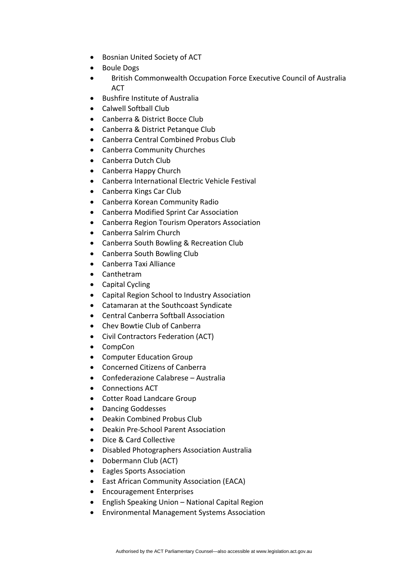- Bosnian United Society of ACT
- Boule Dogs
- British Commonwealth Occupation Force Executive Council of Australia **ACT**
- Bushfire Institute of Australia
- Calwell Softball Club
- Canberra & District Bocce Club
- Canberra & District Petanque Club
- Canberra Central Combined Probus Club
- Canberra Community Churches
- Canberra Dutch Club
- Canberra Happy Church
- Canberra International Electric Vehicle Festival
- Canberra Kings Car Club
- Canberra Korean Community Radio
- Canberra Modified Sprint Car Association
- Canberra Region Tourism Operators Association
- Canberra Salrim Church
- Canberra South Bowling & Recreation Club
- Canberra South Bowling Club
- Canberra Taxi Alliance
- Canthetram
- Capital Cycling
- Capital Region School to Industry Association
- Catamaran at the Southcoast Syndicate
- Central Canberra Softball Association
- Chev Bowtie Club of Canberra
- Civil Contractors Federation (ACT)
- CompCon
- Computer Education Group
- Concerned Citizens of Canberra
- Confederazione Calabrese Australia
- Connections ACT
- Cotter Road Landcare Group
- Dancing Goddesses
- Deakin Combined Probus Club
- Deakin Pre-School Parent Association
- Dice & Card Collective
- Disabled Photographers Association Australia
- Dobermann Club (ACT)
- Eagles Sports Association
- East African Community Association (EACA)
- Encouragement Enterprises
- English Speaking Union National Capital Region
- Environmental Management Systems Association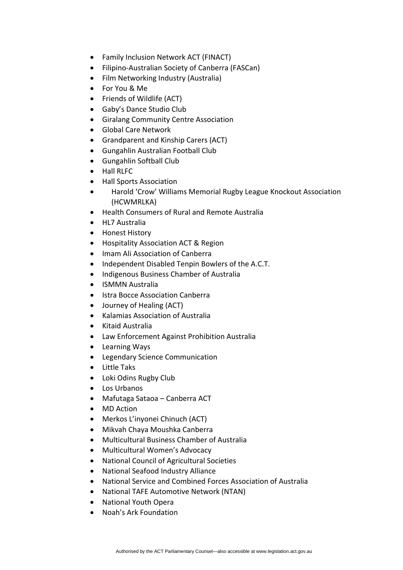- Family Inclusion Network ACT (FINACT)
- Filipino-Australian Society of Canberra (FASCan)
- Film Networking Industry (Australia)
- For You & Me
- Friends of Wildlife (ACT)
- Gaby's Dance Studio Club
- Giralang Community Centre Association
- Global Care Network
- Grandparent and Kinship Carers (ACT)
- Gungahlin Australian Football Club
- Gungahlin Softball Club
- Hall RLFC
- Hall Sports Association
- Harold 'Crow' Williams Memorial Rugby League Knockout Association (HCWMRLKA)
- Health Consumers of Rural and Remote Australia
- HL7 Australia
- Honest History
- Hospitality Association ACT & Region
- Imam Ali Association of Canberra
- Independent Disabled Tenpin Bowlers of the A.C.T.
- Indigenous Business Chamber of Australia
- ISMMN Australia
- Istra Bocce Association Canberra
- Journey of Healing (ACT)
- Kalamias Association of Australia
- Kitaid Australia
- Law Enforcement Against Prohibition Australia
- Learning Ways
- Legendary Science Communication
- Little Taks
- Loki Odins Rugby Club
- Los Urbanos
- Mafutaga Sataoa Canberra ACT
- MD Action
- Merkos L'inyonei Chinuch (ACT)
- Mikvah Chaya Moushka Canberra
- Multicultural Business Chamber of Australia
- Multicultural Women's Advocacy
- National Council of Agricultural Societies
- National Seafood Industry Alliance
- National Service and Combined Forces Association of Australia
- National TAFE Automotive Network (NTAN)
- National Youth Opera
- Noah's Ark Foundation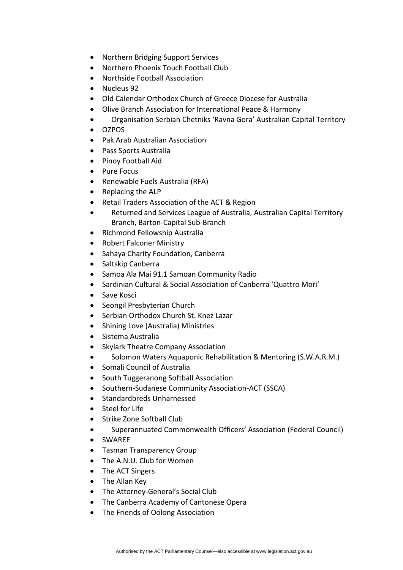- Northern Bridging Support Services
- Northern Phoenix Touch Football Club
- Northside Football Association
- Nucleus 92
- Old Calendar Orthodox Church of Greece Diocese for Australia
- Olive Branch Association for International Peace & Harmony
- Organisation Serbian Chetniks 'Ravna Gora' Australian Capital Territory
- OZPOS
- Pak Arab Australian Association
- Pass Sports Australia
- Pinoy Football Aid
- Pure Focus
- Renewable Fuels Australia (RFA)
- Replacing the ALP
- Retail Traders Association of the ACT & Region
- Returned and Services League of Australia, Australian Capital Territory Branch, Barton-Capital Sub-Branch
- Richmond Fellowship Australia
- Robert Falconer Ministry
- Sahaya Charity Foundation, Canberra
- Saltskip Canberra
- Samoa Ala Mai 91.1 Samoan Community Radio
- Sardinian Cultural & Social Association of Canberra 'Quattro Mori'
- Save Kosci
- Seongil Presbyterian Church
- Serbian Orthodox Church St. Knez Lazar
- Shining Love (Australia) Ministries
- Sistema Australia
- Skylark Theatre Company Association
- Solomon Waters Aquaponic Rehabilitation & Mentoring (S.W.A.R.M.)
- Somali Council of Australia
- South Tuggeranong Softball Association
- Southern-Sudanese Community Association-ACT (SSCA)
- Standardbreds Unharnessed
- Steel for Life
- Strike Zone Softball Club
- Superannuated Commonwealth Officers' Association (Federal Council)
- SWAREE
- Tasman Transparency Group
- The A.N.U. Club for Women
- The ACT Singers
- The Allan Key
- The Attorney-General's Social Club
- The Canberra Academy of Cantonese Opera
- The Friends of Oolong Association